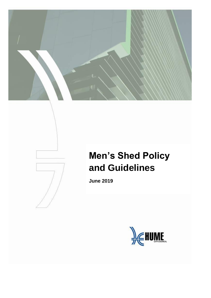# **Men's Shed Policy and Guidelines**

**June 2019**

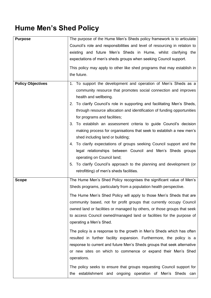## **Hume Men's Shed Policy**

| <b>Purpose</b>           | The purpose of the Hume Men's Sheds policy framework is to articulate                                                                     |  |  |  |  |  |
|--------------------------|-------------------------------------------------------------------------------------------------------------------------------------------|--|--|--|--|--|
|                          | Council's role and responsibilities and level of resourcing in relation to                                                                |  |  |  |  |  |
|                          | existing and future Men's Sheds in Hume, whilst clarifying the                                                                            |  |  |  |  |  |
|                          | expectations of men's sheds groups when seeking Council support.                                                                          |  |  |  |  |  |
|                          | This policy may apply to other like shed programs that may establish in                                                                   |  |  |  |  |  |
|                          | the future.                                                                                                                               |  |  |  |  |  |
|                          |                                                                                                                                           |  |  |  |  |  |
| <b>Policy Objectives</b> | 1. To support the development and operation of Men's Sheds as a                                                                           |  |  |  |  |  |
|                          | community resource that promotes social connection and improves                                                                           |  |  |  |  |  |
|                          | health and wellbeing.                                                                                                                     |  |  |  |  |  |
|                          | 2. To clarify Council's role in supporting and facilitating Men's Sheds,                                                                  |  |  |  |  |  |
|                          | through resource allocation and identification of funding opportunities                                                                   |  |  |  |  |  |
|                          | for programs and facilities;                                                                                                              |  |  |  |  |  |
|                          | 3. To establish an assessment criteria to guide Council's decision<br>making process for organisations that seek to establish a new men's |  |  |  |  |  |
|                          | shed including land or building;                                                                                                          |  |  |  |  |  |
|                          | 4. To clarify expectations of groups seeking Council support and the                                                                      |  |  |  |  |  |
|                          | legal relationships between Council and Men's Sheds groups                                                                                |  |  |  |  |  |
|                          | operating on Council land;                                                                                                                |  |  |  |  |  |
|                          | 5. To clarify Council's approach to the planning and development (or                                                                      |  |  |  |  |  |
|                          | retrofitting) of men's sheds facilities.                                                                                                  |  |  |  |  |  |
|                          |                                                                                                                                           |  |  |  |  |  |
| <b>Scope</b>             | The Hume Men's Shed Policy recognises the significant value of Men's                                                                      |  |  |  |  |  |
|                          | Sheds programs, particularly from a population health perspective.                                                                        |  |  |  |  |  |
|                          | The Hume Men's Shed Policy will apply to those Men's Sheds that are                                                                       |  |  |  |  |  |
|                          | community based, not for profit groups that currently occupy Council                                                                      |  |  |  |  |  |
|                          | owned land or facilities or managed by others, or those groups that seek                                                                  |  |  |  |  |  |
|                          | to access Council owned/managed land or facilities for the purpose of                                                                     |  |  |  |  |  |
|                          | operating a Men's Shed.                                                                                                                   |  |  |  |  |  |
|                          | The policy is a response to the growth in Men's Sheds which has often                                                                     |  |  |  |  |  |
|                          | resulted in further facility expansion. Furthermore, the policy is a                                                                      |  |  |  |  |  |
|                          | response to current and future Men's Sheds groups that seek alternative                                                                   |  |  |  |  |  |
|                          | or new sites on which to commence or expand their Men's Shed                                                                              |  |  |  |  |  |
|                          | operations.                                                                                                                               |  |  |  |  |  |
|                          | The policy seeks to ensure that groups requesting Council support for                                                                     |  |  |  |  |  |
|                          | the establishment and ongoing operation of Men's Sheds can                                                                                |  |  |  |  |  |
|                          |                                                                                                                                           |  |  |  |  |  |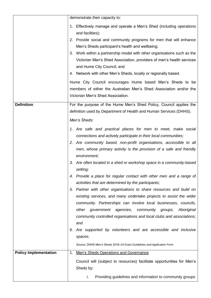|                              | demonstrate their capacity to:                                                                     |
|------------------------------|----------------------------------------------------------------------------------------------------|
|                              | 1. Effectively manage and operate a Men's Shed (including operations<br>and facilities);           |
|                              | 2. Provide social and community programs for men that will enhance                                 |
|                              | Men's Sheds participant's health and wellbeing;                                                    |
|                              | 3. Work within a partnership model with other organisations such as the                            |
|                              | Victorian Men's Shed Association, providers of men's health services<br>and Hume City Council; and |
|                              | 4. Network with other Men's Sheds, locally or regionally based.                                    |
|                              | Hume City Council encourages Hume based Men's Sheds to be                                          |
|                              | members of either the Australian Men's Shed Association and/or the                                 |
|                              | Victorian Men's Shed Association.                                                                  |
| <b>Definition</b>            | For the purpose of the Hume Men's Shed Policy, Council applies the                                 |
|                              | definition used by Department of Health and Human Services (DHHS).                                 |
|                              | Men's Sheds:                                                                                       |
|                              | 1. Are safe and practical places for men to meet, make social                                      |
|                              | connections and actively participate in their local communities;                                   |
|                              | 2. Are community based, non-profit organisations, accessible to all                                |
|                              | men, whose primary activity is the provision of a safe and friendly                                |
|                              | environment;                                                                                       |
|                              | 3. Are often located in a shed or workshop space in a community-based<br>setting;                  |
|                              | 4. Provide a place for regular contact with other men and a range of                               |
|                              | activities that are determined by the participants;                                                |
|                              | Partner with other organisations to share resources and build on<br>5.                             |
|                              | existing services, and many undertake projects to assist the wider                                 |
|                              | community. Partnerships can involve local businesses, councils,                                    |
|                              | other government agencies,<br>community<br>Aboriginal<br>groups,                                   |
|                              | community controlled organisations and local clubs and associations;                               |
|                              | and<br>Are supported by volunteers and are accessible and inclusive<br>6.                          |
|                              | spaces.                                                                                            |
|                              | Source: DHHS Men's Sheds 2018-19 Grant Guidelines and Application Form                             |
| <b>Policy Implementation</b> | 1. Men's Sheds Operations and Governance                                                           |
|                              | Council will (subject to resources) facilitate opportunities for Men's                             |
|                              | Sheds by:                                                                                          |
|                              | Providing guidelines and information to community groups<br>i.                                     |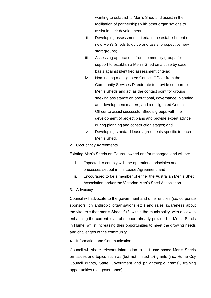|                       | wanting to establish a Men's Shed and assist in the                            |
|-----------------------|--------------------------------------------------------------------------------|
|                       | facilitation of partnerships with other organisations to                       |
|                       | assist in their development;                                                   |
| ii.                   | Developing assessment criteria in the establishment of                         |
|                       | new Men's Sheds to guide and assist prospective new                            |
|                       | start groups;                                                                  |
| iii.                  | Assessing applications from community groups for                               |
|                       | support to establish a Men's Shed on a case by case                            |
|                       | basis against identified assessment criteria;                                  |
| iv.                   | Nominating a designated Council Officer from the                               |
|                       | Community Services Directorate to provide support to                           |
|                       | Men's Sheds and act as the contact point for groups                            |
|                       | seeking assistance on operational, governance, planning                        |
|                       | and development matters; and a designated Council                              |
|                       | Officer to assist successful Shed's groups with the                            |
|                       | development of project plans and provide expert advice                         |
|                       | during planning and construction stages; and                                   |
| v.                    | Developing standard lease agreements specific to each                          |
|                       | Men's Shed.                                                                    |
| 2.                    | <b>Occupancy Agreements</b>                                                    |
|                       | Existing Men's Sheds on Council owned and/or managed land will be:             |
| i.                    | Expected to comply with the operational principles and                         |
|                       | processes set out in the Lease Agreement; and                                  |
| ii.                   | Encouraged to be a member of either the Australian Men's Shed                  |
|                       | Association and/or the Victorian Men's Shed Association.                       |
| 3.<br><b>Advocacy</b> |                                                                                |
|                       | Council will advocate to the government and other entities (i.e. corporate     |
|                       | sponsors, philanthropic organisations etc.) and raise awareness about          |
|                       | the vital role that men's Sheds fulfil within the municipality, with a view to |
|                       | enhancing the current level of support already provided to Men's Sheds         |
|                       | in Hume, whilst increasing their opportunities to meet the growing needs       |
|                       | and challenges of the community.                                               |
| 4.                    | <b>Information and Communication</b>                                           |
|                       | Council will share relevant information to all Hume based Men's Sheds          |
|                       | on issues and topics such as (but not limited to) grants (inc. Hume City       |
|                       | Council grants, State Government and philanthropic grants), training           |
|                       | opportunities (i.e. governance).                                               |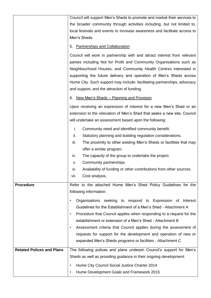| Council will support Men's Sheds to promote and market their services to |                                                                                                                                                                                                                                                                                                                                                                                                                                                                                                         |  |  |
|--------------------------------------------------------------------------|---------------------------------------------------------------------------------------------------------------------------------------------------------------------------------------------------------------------------------------------------------------------------------------------------------------------------------------------------------------------------------------------------------------------------------------------------------------------------------------------------------|--|--|
|                                                                          | the broader community through activities including, but not limited to,<br>local festivals and events to increase awareness and facilitate access to                                                                                                                                                                                                                                                                                                                                                    |  |  |
|                                                                          | Men's Sheds.                                                                                                                                                                                                                                                                                                                                                                                                                                                                                            |  |  |
|                                                                          | 5. Partnerships and Collaboration                                                                                                                                                                                                                                                                                                                                                                                                                                                                       |  |  |
|                                                                          | Council will work in partnership with and attract interest from relevant<br>parties including Not for Profit and Community Organisations such as<br>Neighbourhood Houses, and Community Health Centres interested in<br>supporting the future delivery and operation of Men's Sheds across<br>Hume City. Such support may include: facilitating partnerships, advocacy<br>and support, and the attraction of funding.                                                                                   |  |  |
|                                                                          | <u>New Men's Sheds – Planning and Provision</u><br>6.                                                                                                                                                                                                                                                                                                                                                                                                                                                   |  |  |
|                                                                          | Upon receiving an expression of interest for a new Men's Shed or an<br>extension to the relocation of Men's Shed that seeks a new site, Council<br>will undertake an assessment based upon the following:                                                                                                                                                                                                                                                                                               |  |  |
|                                                                          | Community need and identified community benefit.<br>i.<br>ii.<br>Statutory planning and building regulation considerations.<br>The proximity to other existing Men's Sheds or facilities that may<br>iii.<br>offer a similar program.                                                                                                                                                                                                                                                                   |  |  |
|                                                                          | The capacity of the group to undertake the project.<br>iv.                                                                                                                                                                                                                                                                                                                                                                                                                                              |  |  |
|                                                                          | Community partnerships.<br>v.<br>Availability of funding or other contributions from other sources.<br>Vİ.                                                                                                                                                                                                                                                                                                                                                                                              |  |  |
|                                                                          | Cost analysis.<br>vii.                                                                                                                                                                                                                                                                                                                                                                                                                                                                                  |  |  |
| <b>Procedure</b>                                                         | Refer to the attached Hume Men's Shed Policy Guidelines for the<br>following information:                                                                                                                                                                                                                                                                                                                                                                                                               |  |  |
|                                                                          | Organisations seeking to respond to Expression of Interest<br>٠<br>Guidelines for the Establishment of a Men's Shed - Attachment A<br>Procedure that Council applies when responding to a request for the<br>$\bullet$<br>establishment or extension of a Men's Shed - Attachment B<br>Assessment criteria that Council applies during the assessment of<br>$\bullet$<br>requests for support for the development and operation of new or<br>expanded Men's Sheds programs or facilities - Attachment C |  |  |
| <b>Related Polices and Plans</b>                                         | The following polices and plans underpin Council's support for Men's                                                                                                                                                                                                                                                                                                                                                                                                                                    |  |  |
|                                                                          | Sheds as well as providing guidance in their ongoing development:                                                                                                                                                                                                                                                                                                                                                                                                                                       |  |  |
|                                                                          | Hume City Council Social Justice Charter 2014<br>$\bullet$                                                                                                                                                                                                                                                                                                                                                                                                                                              |  |  |
|                                                                          | Hume Development Goals and Framework 2015<br>$\bullet$                                                                                                                                                                                                                                                                                                                                                                                                                                                  |  |  |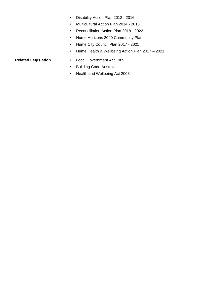|                            | ٠ | Disability Action Plan 2012 - 2016              |
|----------------------------|---|-------------------------------------------------|
|                            |   | Multicultural Action Plan 2014 - 2018           |
|                            |   | Reconciliation Action Plan 2018 - 2022          |
|                            |   | Hume Horizons 2040 Community Plan               |
|                            |   | Hume City Council Plan 2017 - 2021              |
|                            |   | Hume Health & Wellbeing Action Plan 2017 - 2021 |
|                            |   |                                                 |
| <b>Related Legislation</b> |   | <b>Local Government Act 1989</b>                |
|                            |   | <b>Building Code Australia</b>                  |
|                            |   | Health and Wellbeing Act 2008                   |
|                            |   |                                                 |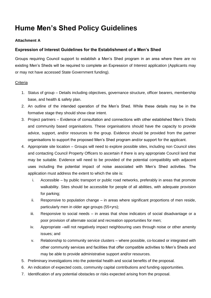### **Hume Men's Shed Policy Guidelines**

#### **Attachment A**

#### **Expression of Interest Guidelines for the Establishment of a Men's Shed**

Groups requiring Council support to establish a Men's Shed program in an area where there are no existing Men's Sheds will be required to complete an Expression of Interest application (Applicants may or may not have accessed State Government funding).

#### **Criteria**

- 1. Status of group Details including objectives, governance structure, officer bearers, membership base, and health & safety plan.
- 2. An outline of the intended operation of the Men's Shed. While these details may be in the formative stage they should show clear intent.
- 3. Project partners Evidence of consultation and connections with other established Men's Sheds and community based organisations. These organisations should have the capacity to provide advice, support, and/or resources to the group. Evidence should be provided from the partner organisations to support the proposed Men's Shed program and/or support for the applicant.
- 4. Appropriate site location Groups will need to explore possible sites, including non Council sites and contacting Council Property Officers to ascertain if there is any appropriate Council land that may be suitable. Evidence will need to be provided of the potential compatibility with adjacent uses including the potential impact of noise associated with Men's Shed activities. The application must address the extent to which the site is:
	- i. Accessible by public transport or public road networks, preferably in areas that promote walkability. Sites should be accessible for people of all abilities, with adequate provision for parking;
	- ii. Responsive to population change in areas where significant proportions of men reside, particularly men in older age groups (55+yrs);
	- iii. Responsive to social needs in areas that show indicators of social disadvantage or a poor provision of alternate social and recreation opportunities for men;
	- iv. Appropriate –will not negatively impact neighbouring uses through noise or other amenity issues; and
	- v. Relationship to community service clusters where possible, co-located or integrated with other community services and facilities that offer compatible activities to Men's Sheds and may be able to provide administrative support and/or resources.
- 5. Preliminary investigations into the potential health and social benefits of the proposal.
- 6. An indication of expected costs, community capital contributions and funding opportunities.
- 7. Identification of any potential obstacles or risks expected arising from the proposal.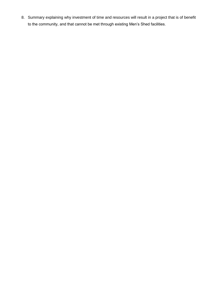8. Summary explaining why investment of time and resources will result in a project that is of benefit to the community, and that cannot be met through existing Men's Shed facilities.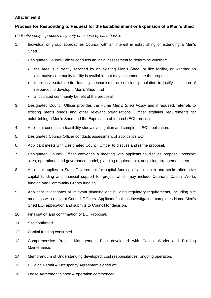#### **Attachment B**

#### **Process for Responding to Request for the Establishment or Expansion of a Men's Shed**

(*Indicative only – process may vary on a case by case basis*).

- 1. Individual or group approaches Council with an interest in establishing or extending a Men's Shed.
- 2. Designated Council Officer conducts an initial assessment to determine whether:
	- the area is currently serviced by an existing Men's Shed, or like facility, or whether an alternative community facility is available that may accommodate the proposal;
	- there is a suitable site, funding mechanisms, or sufficient population to justify allocation of resources to develop a Men's Shed; and
	- anticipated community benefit of the proposal.
- 3. Designated Council Officer provides the Hume *Men's Shed Policy* and if required, referrals to existing men's sheds and other relevant organisations. Officer explains requirements for establishing a Men's Shed and the Expression of Interest (EOI) process.
- 4. Applicant conducts a feasibility study/investigation and completes EOI application.
- 5. Designated Council Officer conducts assessment of applicant's EOI.
- 6. Applicant meets with Designated Council Officer to discuss and refine proposal.
- 7. Designated Council Officer convenes a meeting with applicant to discuss proposal, possible sites, operational and governance model, planning requirements, auspicing arrangements etc.
- 8. Applicant applies to State Government for capital funding (if applicable) and seeks alternative capital funding and financial support for project which may include Council's Capital Works funding and Community Grants funding.
- 9. Applicant investigates all relevant planning and building regulatory requirements, including site meetings with relevant Council Officers. Applicant finalises investigation, completes Hume Men's Shed EOI application and submits to Council for decision.
- 10. Finalisation and confirmation of EOI Proposal.
- 11. Site confirmed.
- 12. Capital funding confirmed.
- 13. Comprehensive Project Management Plan developed with Capital Works and Building Maintenance.
- 14. Memorandum of Understanding developed, cost responsibilities, ongoing operation.
- 15. Building Permit & Occupancy Agreement signed off.
- 16. Lease Agreement signed & operation commenced.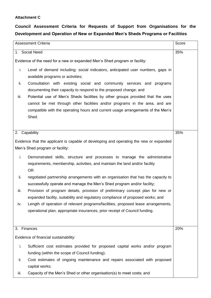#### **Attachment C**

### **Council Assessment Criteria for Requests of Support from Organisations for the Development and Operation of New or Expanded Men's Sheds Programs or Facilities**

|             | <b>Assessment Criteria</b>                                                                                                     | Score |
|-------------|--------------------------------------------------------------------------------------------------------------------------------|-------|
|             | 1. Social Need                                                                                                                 | 35%   |
|             | Evidence of the need for a new or expanded Men's Shed program or facility:                                                     |       |
| i.          | Level of demand including: social indicators, anticipated user numbers, gaps in<br>available programs or activities;           |       |
| ii.         | Consultation with existing social and community services and programs                                                          |       |
|             | documenting their capacity to respond to the proposed change; and                                                              |       |
| iii.        | Potential use of Men's Sheds facilities by other groups provided that the uses                                                 |       |
|             | cannot be met through other facilities and/or programs in the area, and are                                                    |       |
|             | compatible with the operating hours and current usage arrangements of the Men's                                                |       |
|             | Shed.                                                                                                                          |       |
|             |                                                                                                                                |       |
|             | 2. Capability                                                                                                                  | 35%   |
|             | Evidence that the applicant is capable of developing and operating the new or expanded                                         |       |
|             | Men's Shed program or facility:                                                                                                |       |
| i.          | Demonstrated skills, structure and processes to manage the administrative                                                      |       |
|             | requirements, membership, activities, and maintain the land and/or facility                                                    |       |
|             | OR.                                                                                                                            |       |
| ii.         | negotiated partnership arrangements with an organisation that has the capacity to                                              |       |
|             | successfully operate and manage the Men's Shed program and/or facility;                                                        |       |
| iii.        | Provision of program details, provision of preliminary concept plan for new or                                                 |       |
|             | expanded facility, suitability and regulatory compliance of proposed works; and                                                |       |
| iv.         | Length of operation of relevant programs/facilities, proposed lease arrangements,                                              |       |
|             | operational plan, appropriate insurances, prior receipt of Council funding.                                                    |       |
|             |                                                                                                                                |       |
| 3. Finances |                                                                                                                                | 20%   |
|             | Evidence of financial sustainability:                                                                                          |       |
|             |                                                                                                                                |       |
| i.          | Sufficient cost estimates provided for proposed capital works and/or program<br>funding (within the scope of Council funding); |       |
| ii.         | Cost estimates of ongoing maintenance and repairs associated with proposed                                                     |       |
|             | capital works;                                                                                                                 |       |
| iii.        | Capacity of the Men's Shed or other organisation(s) to meet costs; and                                                         |       |